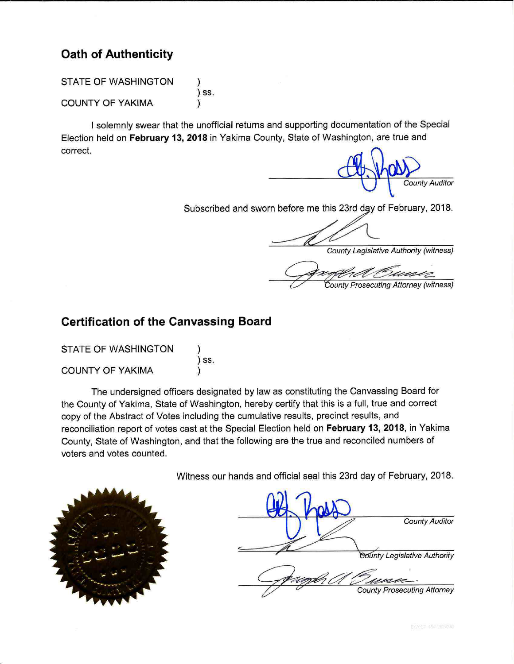# **Oath of Authenticity**

**STATE OF WASHINGTON** ) SS. **COUNTY OF YAKIMA** 

I solemnly swear that the unofficial returns and supporting documentation of the Special Election held on February 13, 2018 in Yakima County, State of Washington, are true and correct.

**County Auditor** 

Subscribed and sworn before me this 23rd day of February, 2018.

**County Legislative Authority (witness)** 

County Prosecuting Attorney (witness)

# **Certification of the Canvassing Board**

| <b>STATE OF WASHINGTON</b> |      |
|----------------------------|------|
|                            | ) SS |
| <b>COUNTY OF YAKIMA</b>    |      |

The undersigned officers designated by law as constituting the Canvassing Board for the County of Yakima, State of Washington, hereby certify that this is a full, true and correct copy of the Abstract of Votes including the cumulative results, precinct results, and reconciliation report of votes cast at the Special Election held on February 13, 2018, in Yakima County, State of Washington, and that the following are the true and reconciled numbers of voters and votes counted.

Witness our hands and official seal this 23rd day of February, 2018.

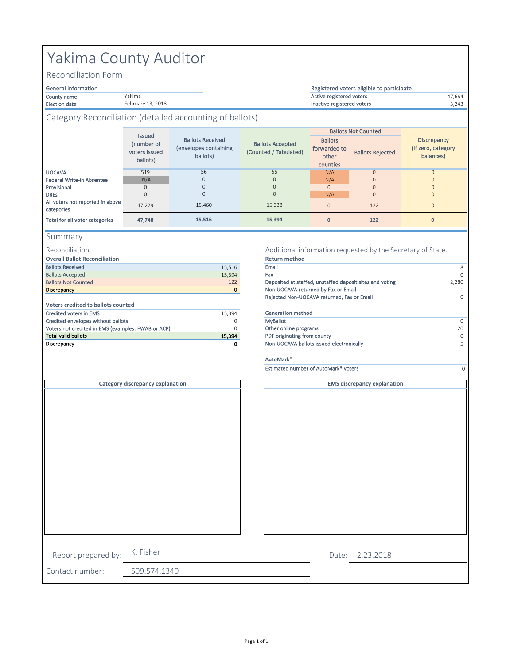# Yakima County Auditor

Yakima February 13, 2018

Reconciliation Form

#### General information

Election date 3,243 Inactive registered voters

#### County name **17,664** and the Value of Marian Marian County of Active registered voters **47,664** Registered voters eligible to participate

#### Category Reconciliation (detailed accounting of ballots)

|                                                | <b>Issued</b><br>(number of<br>voters issued<br>ballots) | <b>Ballots Received</b><br>(envelopes containing<br>ballots) | <b>Ballots Accepted</b><br>(Counted / Tabulated) | <b>Ballots</b><br>forwarded to<br>other<br>counties | <b>Ballots Not Counted</b><br><b>Ballots Rejected</b> | <b>Discrepancy</b><br>(If zero, category<br>balances) |
|------------------------------------------------|----------------------------------------------------------|--------------------------------------------------------------|--------------------------------------------------|-----------------------------------------------------|-------------------------------------------------------|-------------------------------------------------------|
| <b>UOCAVA</b>                                  | 519                                                      | 56                                                           | 56                                               | N/A                                                 | $\Omega$                                              | $\Omega$                                              |
| Federal Write-in Absentee                      | N/A                                                      | $\mathbf{0}$                                                 | $\mathbf{0}$                                     | N/A                                                 | $\mathbf{O}$                                          |                                                       |
| Provisional                                    | $\Omega$                                                 | $\mathbf{O}$                                                 | $\Omega$                                         | $\mathbf{0}$                                        | $\Omega$                                              |                                                       |
| <b>DREs</b>                                    | $\Omega$                                                 | $\mathbf{0}$                                                 | $\mathbf{0}$                                     | N/A                                                 | $\mathbf{O}$                                          | $\Omega$                                              |
| All voters not reported in above<br>categories | 47.229                                                   | 15.460                                                       | 15,338                                           | $\mathbf{0}$                                        | 122                                                   | $\Omega$                                              |
| Total for all voter categories                 | 47.748                                                   | 15,516                                                       | 15,394                                           | $\mathbf{0}$                                        | 122                                                   | $\mathbf{0}$                                          |

#### Summary

#### Reconciliation

**Overall Ballot Reconciliation**

| 15,516   | Email                        |
|----------|------------------------------|
| 15,394   | Fax                          |
| 122      | Deposited at staffed, unstaf |
| $\bf{0}$ | Non-UOCAVA returned by F     |
|          | Rejected Non-UOCAVA retu     |
|          |                              |
| 15.394   | <b>Generation method</b>     |
| 0        | <b>MyBallot</b>              |
| 0        | Other online programs        |
| 15.394   | PDF originating from county  |
|          | Non-UOCAVA ballots issued    |
|          |                              |

#### Additional information requested by the Secretary of State. **Return method**

|                                                    |        | .                                                        |             |
|----------------------------------------------------|--------|----------------------------------------------------------|-------------|
| <b>Ballots Received</b>                            | 15,516 | Email                                                    | 8           |
| <b>Ballots Accepted</b>                            | 15,394 | Fax                                                      | $\Omega$    |
| <b>Ballots Not Counted</b>                         | 122    | Deposited at staffed, unstaffed deposit sites and voting | 2,280       |
| <b>Discrepancy</b>                                 |        | Non-UOCAVA returned by Fax or Email                      |             |
|                                                    |        | Rejected Non-UOCAVA returned, Fax or Email               | $\mathbf 0$ |
| Voters credited to ballots counted                 |        |                                                          |             |
| Credited voters in EMS                             | 15,394 | <b>Generation method</b>                                 |             |
| Credited envelopes without ballots                 | 0      | <b>MyBallot</b>                                          | $\Omega$    |
| Voters not credited in EMS (examples: FWAB or ACP) |        | Other online programs                                    | 20          |
| Total valid ballots                                | 15,394 | PDF originating from county                              | $\Omega$    |
| Discrepancy                                        |        | Non-UOCAVA ballots issued electronically                 | 5.          |
|                                                    |        | AutoMark <sup>®</sup>                                    |             |
|                                                    |        | Estimated number of AutoMark <sup>®</sup> voters         |             |
| Category discrepancy explanation                   |        | <b>EMS discrepancy explanation</b>                       |             |

|                     | Category discrepancy explanation |  |
|---------------------|----------------------------------|--|
|                     |                                  |  |
|                     |                                  |  |
| Report prepared by: | K. Fisher                        |  |
| Contact number:     | 509.574.1340                     |  |

2.23.2018 Date: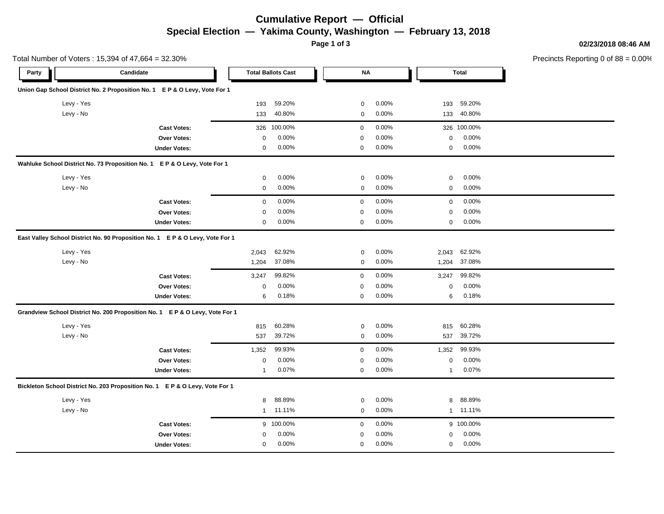### **Cumulative Report — Official Special Election — Yakima County, Washington — February 13, 2018**

**Page 1 of 3**

**02/23/2018 08:46 AM**

|       |            | Total Number of Voters: 15,394 of 47,664 = 32.30%                             |              |                           |              |          |             |              | Precincts Reporting 0 of 88 = 0.00% |
|-------|------------|-------------------------------------------------------------------------------|--------------|---------------------------|--------------|----------|-------------|--------------|-------------------------------------|
| Party |            | Candidate                                                                     |              | <b>Total Ballots Cast</b> | <b>NA</b>    |          |             | <b>Total</b> |                                     |
|       |            | Union Gap School District No. 2 Proposition No. 1 E P & O Levy, Vote For 1    |              |                           |              |          |             |              |                                     |
|       | Levy - Yes |                                                                               | 193          | 59.20%                    | 0            | 0.00%    | 193         | 59.20%       |                                     |
|       | Levy - No  |                                                                               | 133          | 40.80%                    | $\mathbf 0$  | 0.00%    | 133         | 40.80%       |                                     |
|       |            | <b>Cast Votes:</b>                                                            | 326          | 100.00%                   | $\mathbf 0$  | 0.00%    |             | 326 100.00%  |                                     |
|       |            | Over Votes:                                                                   | 0            | 0.00%                     | $\mathbf 0$  | 0.00%    | 0           | 0.00%        |                                     |
|       |            | <b>Under Votes:</b>                                                           | 0            | 0.00%                     | 0            | 0.00%    | 0           | 0.00%        |                                     |
|       |            | Wahluke School District No. 73 Proposition No. 1 E P & O Levy, Vote For 1     |              |                           |              |          |             |              |                                     |
|       | Levy - Yes |                                                                               | $\mathbf 0$  | 0.00%                     | $\mathbf 0$  | 0.00%    | $\mathbf 0$ | 0.00%        |                                     |
|       | Levy - No  |                                                                               | 0            | 0.00%                     | $\mathbf 0$  | 0.00%    | $\mathbf 0$ | 0.00%        |                                     |
|       |            | <b>Cast Votes:</b>                                                            | 0            | 0.00%                     | $\mathbf 0$  | 0.00%    | $\mathbf 0$ | 0.00%        |                                     |
|       |            | <b>Over Votes:</b>                                                            | $\Omega$     | 0.00%                     | $\mathbf 0$  | 0.00%    | $\mathbf 0$ | 0.00%        |                                     |
|       |            | <b>Under Votes:</b>                                                           | $\mathbf 0$  | 0.00%                     | $\mathbf 0$  | $0.00\%$ | $\mathbf 0$ | 0.00%        |                                     |
|       |            | East Valley School District No. 90 Proposition No. 1 E P & O Levy, Vote For 1 |              |                           |              |          |             |              |                                     |
|       | Levy - Yes |                                                                               | 2,043        | 62.92%                    | $\mathbf 0$  | 0.00%    | 2,043       | 62.92%       |                                     |
|       | Levy - No  |                                                                               | 1,204        | 37.08%                    | 0            | 0.00%    | 1,204       | 37.08%       |                                     |
|       |            | <b>Cast Votes:</b>                                                            | 3,247        | 99.82%                    | $\mathbf 0$  | 0.00%    | 3,247       | 99.82%       |                                     |
|       |            | Over Votes:                                                                   | $\mathbf 0$  | 0.00%                     | $\Omega$     | 0.00%    | $\mathbf 0$ | 0.00%        |                                     |
|       |            | <b>Under Votes:</b>                                                           | 6            | 0.18%                     | 0            | $0.00\%$ | 6           | 0.18%        |                                     |
|       |            | Grandview School District No. 200 Proposition No. 1 E P & O Levy, Vote For 1  |              |                           |              |          |             |              |                                     |
|       | Levy - Yes |                                                                               | 815          | 60.28%                    | $\mathbf 0$  | 0.00%    | 815         | 60.28%       |                                     |
|       | Levy - No  |                                                                               | 537          | 39.72%                    | $\mathbf 0$  | 0.00%    | 537         | 39.72%       |                                     |
|       |            | <b>Cast Votes:</b>                                                            | 1,352        | 99.93%                    | $\mathbf 0$  | $0.00\%$ | 1,352       | 99.93%       |                                     |
|       |            | Over Votes:                                                                   | 0            | 0.00%                     | $\mathbf 0$  | $0.00\%$ | 0           | 0.00%        |                                     |
|       |            | <b>Under Votes:</b>                                                           | $\mathbf{1}$ | 0.07%                     | 0            | 0.00%    | 1           | 0.07%        |                                     |
|       |            | Bickleton School District No. 203 Proposition No. 1 E P & O Levy, Vote For 1  |              |                           |              |          |             |              |                                     |
|       | Levy - Yes |                                                                               | 8            | 88.89%                    | $\mathbf 0$  | 0.00%    | 8           | 88.89%       |                                     |
|       | Levy - No  |                                                                               | $\mathbf{1}$ | 11.11%                    | $\mathbf 0$  | $0.00\%$ |             | 1 11.11%     |                                     |
|       |            | <b>Cast Votes:</b>                                                            |              | 9 100.00%                 | $\mathbf{0}$ | 0.00%    |             | 9 100.00%    |                                     |

0.00% 0

 $0.00\%$  and  $0.00\%$  and  $0.00\%$  are  $0.00\%$ 

0.00% 0.00%

0.00% 0 0.00%

**Over Votes:** 0 0.00% **Under Votes:** 0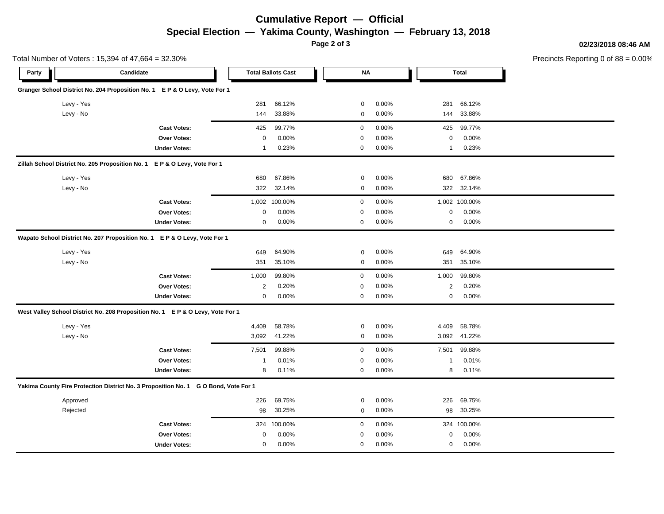# **Cumulative Report — Official Special Election — Yakima County, Washington — February 13, 2018**

**Page 2 of 3**

**02/23/2018 08:46 AM**

|       | Total Number of Voters: 15,394 of 47,664 = 32.30% |                                                                                     |                |                           |             |       |              |               | Precincts Reporting 0 of 88 = 0.00% |
|-------|---------------------------------------------------|-------------------------------------------------------------------------------------|----------------|---------------------------|-------------|-------|--------------|---------------|-------------------------------------|
| Party |                                                   | Candidate                                                                           |                | <b>Total Ballots Cast</b> | <b>NA</b>   |       |              | <b>Total</b>  |                                     |
|       |                                                   | Granger School District No. 204 Proposition No. 1 E P & O Levy, Vote For 1          |                |                           |             |       |              |               |                                     |
|       | Levy - Yes                                        |                                                                                     | 281            | 66.12%                    | $\mathbf 0$ | 0.00% | 281          | 66.12%        |                                     |
|       | Levy - No                                         |                                                                                     | 144            | 33.88%                    | 0           | 0.00% | 144          | 33.88%        |                                     |
|       |                                                   | <b>Cast Votes:</b>                                                                  | 425            | 99.77%                    | 0           | 0.00% | 425          | 99.77%        |                                     |
|       |                                                   | Over Votes:                                                                         | 0              | 0.00%                     | 0           | 0.00% | 0            | 0.00%         |                                     |
|       |                                                   | <b>Under Votes:</b>                                                                 | $\mathbf{1}$   | 0.23%                     | $\mathbf 0$ | 0.00% | $\mathbf{1}$ | 0.23%         |                                     |
|       |                                                   | Zillah School District No. 205 Proposition No. 1 E P & O Levy, Vote For 1           |                |                           |             |       |              |               |                                     |
|       | Levy - Yes                                        |                                                                                     | 680            | 67.86%                    | 0           | 0.00% | 680          | 67.86%        |                                     |
|       | Levy - No                                         |                                                                                     | 322            | 32.14%                    | 0           | 0.00% | 322          | 32.14%        |                                     |
|       |                                                   | <b>Cast Votes:</b>                                                                  |                | 1,002 100.00%             | 0           | 0.00% |              | 1,002 100.00% |                                     |
|       |                                                   | Over Votes:                                                                         | 0              | 0.00%                     | 0           | 0.00% | 0            | 0.00%         |                                     |
|       |                                                   | <b>Under Votes:</b>                                                                 | 0              | 0.00%                     | 0           | 0.00% | 0            | 0.00%         |                                     |
|       |                                                   | Wapato School District No. 207 Proposition No. 1 E P & O Levy, Vote For 1           |                |                           |             |       |              |               |                                     |
|       | Levy - Yes                                        |                                                                                     | 649            | 64.90%                    | 0           | 0.00% | 649          | 64.90%        |                                     |
|       | Levy - No                                         |                                                                                     | 351            | 35.10%                    | 0           | 0.00% | 351          | 35.10%        |                                     |
|       |                                                   | <b>Cast Votes:</b>                                                                  | 1,000          | 99.80%                    | $\mathbf 0$ | 0.00% | 1,000        | 99.80%        |                                     |
|       |                                                   | <b>Over Votes:</b>                                                                  | $\overline{2}$ | 0.20%                     | $\mathbf 0$ | 0.00% | 2            | 0.20%         |                                     |
|       |                                                   | <b>Under Votes:</b>                                                                 | 0              | 0.00%                     | $\mathbf 0$ | 0.00% | 0            | 0.00%         |                                     |
|       |                                                   | West Valley School District No. 208 Proposition No. 1 E P & O Levy, Vote For 1      |                |                           |             |       |              |               |                                     |
|       | Levy - Yes                                        |                                                                                     | 4,409          | 58.78%                    | 0           | 0.00% | 4,409        | 58.78%        |                                     |
|       | Levy - No                                         |                                                                                     | 3,092          | 41.22%                    | 0           | 0.00% | 3,092        | 41.22%        |                                     |
|       |                                                   | <b>Cast Votes:</b>                                                                  | 7,501          | 99.88%                    | $\mathbf 0$ | 0.00% | 7,501        | 99.88%        |                                     |
|       |                                                   | Over Votes:                                                                         | -1             | 0.01%                     | 0           | 0.00% | $\mathbf{1}$ | 0.01%         |                                     |
|       |                                                   | <b>Under Votes:</b>                                                                 | 8              | 0.11%                     | $\mathbf 0$ | 0.00% | 8            | 0.11%         |                                     |
|       |                                                   | Yakima County Fire Protection District No. 3 Proposition No. 1 G O Bond, Vote For 1 |                |                           |             |       |              |               |                                     |
|       | Approved                                          |                                                                                     | 226            | 69.75%                    | 0           | 0.00% | 226          | 69.75%        |                                     |
|       | Rejected                                          |                                                                                     | 98             | 30.25%                    | 0           | 0.00% | 98           | 30.25%        |                                     |
|       |                                                   | <b>Cast Votes:</b>                                                                  |                | 324 100.00%               | $\mathbf 0$ | 0.00% |              | 324 100.00%   |                                     |
|       |                                                   | Over Votes:                                                                         | 0              | 0.00%                     | $\Omega$    | 0.00% | 0            | 0.00%         |                                     |
|       |                                                   | <b>Under Votes:</b>                                                                 | $\mathbf 0$    | 0.00%                     | $\mathbf 0$ | 0.00% | $\mathbf{0}$ | 0.00%         |                                     |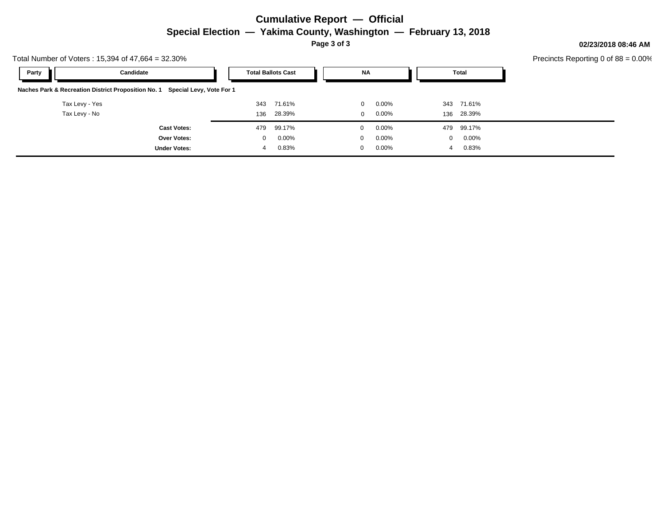# **Cumulative Report — Official Special Election — Yakima County, Washington — February 13, 2018**

**Page 3 of 3**

**02/23/2018 08:46 AM**

| Total Number of Voters: $15,394$ of $47,664 = 32.30\%$                       |              |                           |           |          |          |          | Precincts Reporting 0 of $88 = 0.00\%$ |  |
|------------------------------------------------------------------------------|--------------|---------------------------|-----------|----------|----------|----------|----------------------------------------|--|
| Party<br>Candidate                                                           |              | <b>Total Ballots Cast</b> | <b>NA</b> |          |          | Total    |                                        |  |
| Naches Park & Recreation District Proposition No. 1 Special Levy, Vote For 1 |              |                           |           |          |          |          |                                        |  |
| Tax Levy - Yes                                                               | 343          | 71.61%                    | $\Omega$  | $0.00\%$ | 343      | 71.61%   |                                        |  |
| Tax Levy - No                                                                | 136          | 28.39%                    | $\Omega$  | $0.00\%$ | 136      | 28.39%   |                                        |  |
| <b>Cast Votes:</b>                                                           | 479          | 99.17%                    | $\Omega$  | $0.00\%$ | 479      | 99.17%   |                                        |  |
| <b>Over Votes:</b>                                                           | $\mathbf{0}$ | $0.00\%$                  | $\Omega$  | $0.00\%$ | $\Omega$ | $0.00\%$ |                                        |  |
| <b>Under Votes:</b>                                                          |              | 0.83%                     | $\Omega$  | $0.00\%$ |          | 0.83%    |                                        |  |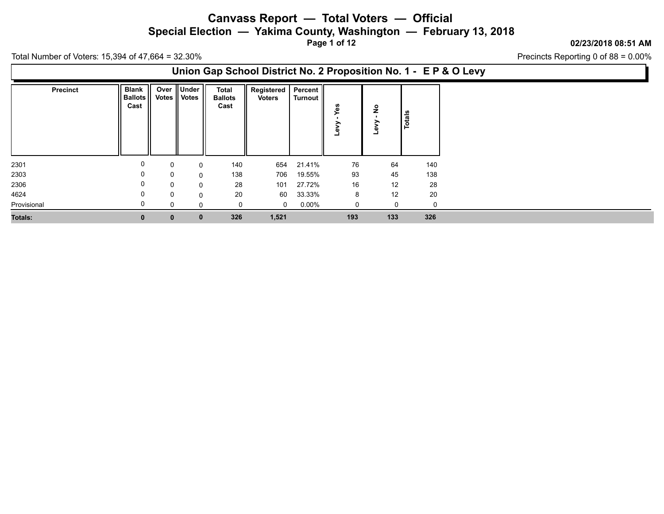**Special Election — Yakima County, Washington — February 13, 2018**

**Page 1 of 12**

#### **02/23/2018 08:51 AM**

Precincts Reporting 0 of 88 = 0.00%

Total Number of Voters: 15,394 of 47,664 = 32.30%

### **Union Gap School District No. 2 Proposition No. 1 - E P & O Levy**

| <b>Precinct</b> | Blank          |              | Over Under     | <b>Total</b>   | Registered   Percent |          |        |               |        |             |
|-----------------|----------------|--------------|----------------|----------------|----------------------|----------|--------|---------------|--------|-------------|
|                 | <b>Ballots</b> |              | Votes    Votes | <b>Ballots</b> | <b>Voters</b>        | Turnout  |        |               |        |             |
|                 | Cast           |              |                | Cast           |                      |          | n<br>œ | $\frac{1}{2}$ |        |             |
|                 |                |              |                |                |                      |          |        | >             | Totals |             |
|                 |                |              |                |                |                      |          |        | ω<br>┙        |        |             |
|                 |                |              |                |                |                      |          |        |               |        |             |
|                 |                |              |                |                |                      |          |        |               |        |             |
|                 |                |              |                |                |                      |          |        |               |        |             |
| 2301            | 0              | 0            | $\Omega$       | 140            | 654                  | 21.41%   | 76     | 64            |        | 140         |
| 2303            | 0              | 0            | $\Omega$       | 138            | 706                  | 19.55%   | 93     | 45            |        | 138         |
| 2306            | 0              | 0            | 0              | 28             | 101                  | 27.72%   | 16     | 12            |        | 28          |
| 4624            | 0              | $\Omega$     | $\Omega$       | 20             | 60                   | 33.33%   | 8      | 12            |        | 20          |
| Provisional     |                | 0            | 0              |                | $\mathbf 0$          | $0.00\%$ | 0      | 0             |        | $\mathbf 0$ |
| Totals:         | $\mathbf{0}$   | $\mathbf{0}$ | $\bf{0}$       | 326            | 1,521                |          | 193    | 133           |        | 326         |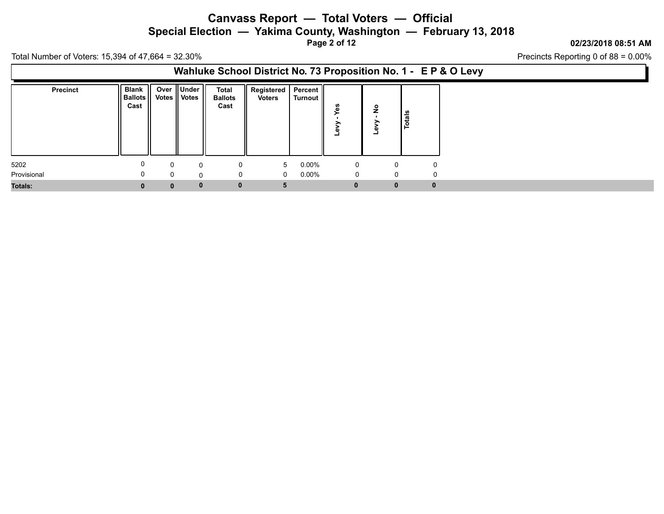**Special Election — Yakima County, Washington — February 13, 2018**

**Page 2 of 12**

#### **02/23/2018 08:51 AM**

Precincts Reporting 0 of 88 = 0.00%

Total Number of Voters: 15,394 of 47,664 = 32.30%

### **Wahluke School District No. 73 Proposition No. 1 - E P & O Levy**

| <b>Precinct</b>     | <b>Blank</b><br>Ballots<br>Cast |                      | Over Under<br>Votes    Votes | <b>Total</b><br><b>Ballots</b><br>Cast |             | Registered   Percent  <br><b>Voters</b> | Turnout              | m            | $\frac{9}{2}$<br>ــ | <b>Totals</b> |
|---------------------|---------------------------------|----------------------|------------------------------|----------------------------------------|-------------|-----------------------------------------|----------------------|--------------|---------------------|---------------|
| 5202<br>Provisional | U                               | $\Omega$<br>$\Omega$ | $\Omega$<br>0                |                                        |             | 5<br>$\overline{0}$                     | $0.00\%$<br>$0.00\%$ | 0<br>0       | 0<br>0              | 0<br>$\Omega$ |
| Totals:             |                                 | $\mathbf{0}$         | $\mathbf{0}$                 |                                        | $\mathbf 0$ | 5                                       |                      | $\mathbf{0}$ | $\mathbf{0}$        | $\mathbf{0}$  |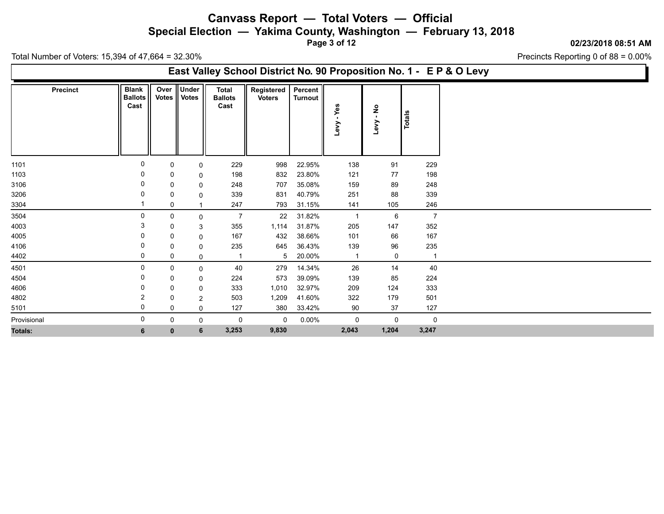**Special Election — Yakima County, Washington — February 13, 2018**

**Page 3 of 12**

#### **02/23/2018 08:51 AM**

Precincts Reporting 0 of 88 = 0.00%

Total Number of Voters: 15,394 of 47,664 = 32.30%

### **East Valley School District No. 90 Proposition No. 1 - E P & O Levy**

|                | <b>Precinct</b> | <b>Blank</b><br><b>Ballots</b><br>Cast | Over<br><b>Votes</b> | Under<br><b>Votes</b> | <b>Total</b><br><b>Ballots</b><br>Cast | Registered<br><b>Voters</b> | Percent<br>Turnout | Yes            | $\overline{\mathsf{a}}$ |                |
|----------------|-----------------|----------------------------------------|----------------------|-----------------------|----------------------------------------|-----------------------------|--------------------|----------------|-------------------------|----------------|
|                |                 |                                        |                      |                       |                                        |                             |                    | Levy           | Геv                     | Totals         |
| 1101           |                 | $\mathbf 0$                            | 0                    | 0                     | 229                                    | 998                         | 22.95%             | 138            | 91                      | 229            |
| 1103           |                 |                                        | 0                    | 0                     | 198                                    | 832                         | 23.80%             | 121            | 77                      | 198            |
| 3106           |                 | 0                                      | 0                    | 0                     | 248                                    | 707                         | 35.08%             | 159            | 89                      | 248            |
| 3206           |                 |                                        | 0                    | $\mathbf{0}$          | 339                                    | 831                         | 40.79%             | 251            | 88                      | 339            |
| 3304           |                 |                                        | 0                    |                       | 247                                    | 793                         | 31.15%             | 141            | 105                     | 246            |
| 3504           |                 | $\Omega$                               | 0                    | 0                     | $\overline{7}$                         | 22                          | 31.82%             | $\mathbf{1}$   | 6                       | $\overline{7}$ |
| 4003           |                 | 3                                      | 0                    | 3                     | 355                                    | 1,114                       | 31.87%             | 205            | 147                     | 352            |
| 4005           |                 | 0                                      | 0                    | 0                     | 167                                    | 432                         | 38.66%             | 101            | 66                      | 167            |
| 4106           |                 | 0                                      | 0                    | 0                     | 235                                    | 645                         | 36.43%             | 139            | 96                      | 235            |
| 4402           |                 | 0                                      | 0                    | 0                     | $\mathbf{1}$                           | 5 <sup>5</sup>              | 20.00%             | $\overline{1}$ | 0                       | $\overline{1}$ |
| 4501           |                 | 0                                      | 0                    | 0                     | 40                                     | 279                         | 14.34%             | 26             | 14                      | 40             |
| 4504           |                 | 0                                      | 0                    | 0                     | 224                                    | 573                         | 39.09%             | 139            | 85                      | 224            |
| 4606           |                 | 0                                      | 0                    | 0                     | 333                                    | 1,010                       | 32.97%             | 209            | 124                     | 333            |
| 4802           |                 | 2                                      | 0                    | $\overline{2}$        | 503                                    | 1,209                       | 41.60%             | 322            | 179                     | 501            |
| 5101           |                 | 0                                      | 0                    | 0                     | 127                                    | 380                         | 33.42%             | 90             | 37                      | 127            |
| Provisional    |                 | 0                                      | 0                    | 0                     | 0                                      | $\mathsf{O}$                | $0.00\%$           | 0              | 0                       | $\mathbf 0$    |
| <b>Totals:</b> |                 | 6                                      | $\mathbf{0}$         | 6                     | 3,253                                  | 9,830                       |                    | 2,043          | 1,204                   | 3,247          |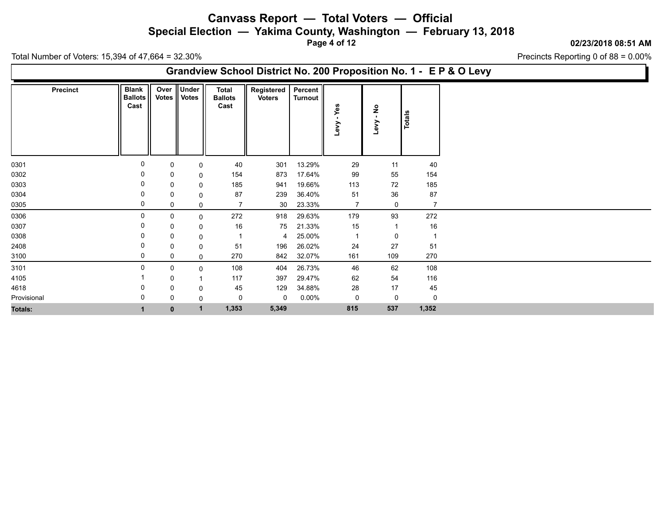**Special Election — Yakima County, Washington — February 13, 2018**

**Page 4 of 12**

#### **02/23/2018 08:51 AM**

Precincts Reporting 0 of 88 = 0.00%

Total Number of Voters: 15,394 of 47,664 = 32.30%

### **Grandview School District No. 200 Proposition No. 1 - E P & O Levy**

| <b>Precinct</b> | <b>Blank</b><br><b>Ballots</b><br>Cast |   |              | Over Under<br>Votes    Votes | <b>Total</b><br><b>Ballots</b><br>Cast | Registered<br><b>Voters</b> | Percent  <br>Turnout | ω<br>Levy      | Levy - No      | Totals         |
|-----------------|----------------------------------------|---|--------------|------------------------------|----------------------------------------|-----------------------------|----------------------|----------------|----------------|----------------|
|                 |                                        |   |              |                              |                                        |                             |                      |                |                |                |
| 0301            |                                        | 0 | 0            | 0                            | 40                                     | 301                         | 13.29%               | 29             | 11             | 40             |
| 0302            |                                        | 0 | 0            | 0                            | 154                                    | 873                         | 17.64%               | 99             | 55             | 154            |
| 0303            |                                        | 0 | 0            | $\mathbf 0$                  | 185                                    | 941                         | 19.66%               | 113            | 72             | 185            |
| 0304            |                                        | 0 | 0            | 0                            | 87                                     | 239                         | 36.40%               | 51             | 36             | 87             |
| 0305            |                                        | 0 | 0            | $\mathbf 0$                  | $\overline{7}$                         | 30                          | 23.33%               | $\overline{7}$ | 0              | 7              |
| 0306            |                                        | 0 | 0            | $\mathbf 0$                  | 272                                    | 918                         | 29.63%               | 179            | 93             | 272            |
| 0307            |                                        | 0 | 0            | 0                            | 16                                     | 75                          | 21.33%               | 15             | $\overline{1}$ | 16             |
| 0308            |                                        | 0 | 0            | 0                            | $\overline{1}$                         | 4                           | 25.00%               | $\overline{1}$ | 0              | $\overline{1}$ |
| 2408            |                                        | 0 | 0            | 0                            | 51                                     | 196                         | 26.02%               | 24             | $27\,$         | 51             |
| 3100            |                                        | 0 | 0            | 0                            | 270                                    | 842                         | 32.07%               | 161            | 109            | 270            |
| 3101            |                                        | 0 | 0            | 0                            | 108                                    | 404                         | 26.73%               | 46             | 62             | 108            |
| 4105            |                                        |   | 0            |                              | 117                                    | 397                         | 29.47%               | 62             | 54             | 116            |
| 4618            |                                        | 0 | 0            | 0                            | 45                                     | 129                         | 34.88%               | 28             | 17             | 45             |
| Provisional     |                                        | 0 | 0            | $\mathbf 0$                  | 0                                      | 0                           | $0.00\%$             | 0              | 0              | $\mathbf 0$    |
| <b>Totals:</b>  |                                        |   | $\mathbf{0}$ | $\mathbf{1}$                 | 1,353                                  | 5,349                       |                      | 815            | 537            | 1,352          |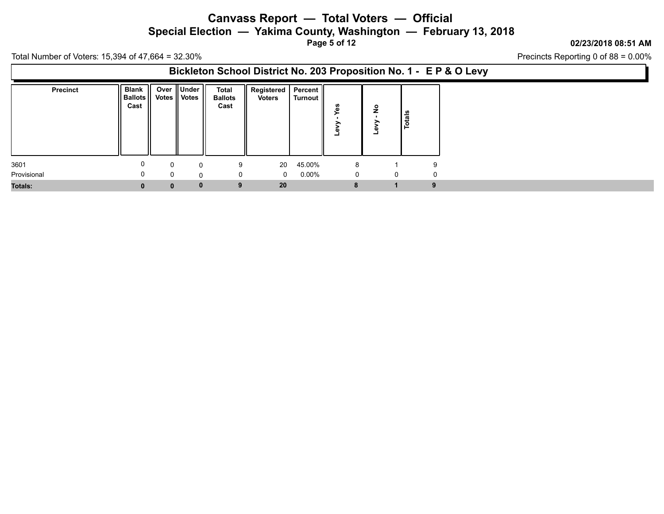**Special Election — Yakima County, Washington — February 13, 2018**

**Page 5 of 12**

#### **02/23/2018 08:51 AM**

Precincts Reporting 0 of 88 = 0.00%

Total Number of Voters: 15,394 of 47,664 = 32.30%

### **Bickleton School District No. 203 Proposition No. 1 - E P & O Levy**

| <b>Precinct</b> | <b>Blank</b><br>Ballots   <br>Cast |              | Over Under<br>Votes    Votes | <b>Total</b><br><b>Ballots</b><br>Cast |   | Registered   Percent   <br><b>Voters</b> | Turnout  | n | $\circ$<br>Ż<br>ست | ីន<br>تت<br>.o |             |
|-----------------|------------------------------------|--------------|------------------------------|----------------------------------------|---|------------------------------------------|----------|---|--------------------|----------------|-------------|
| 3601            |                                    | $\Omega$     | $\Omega$                     |                                        | 9 | 20                                       | 45.00%   | 8 |                    |                | 9           |
| Provisional     |                                    | $\Omega$     |                              |                                        | 0 | $\overline{0}$                           | $0.00\%$ | 0 |                    | 0              | $\mathbf 0$ |
| <b>Totals:</b>  |                                    | $\mathbf{0}$ |                              | $\bf{0}$                               | 9 | 20                                       |          |   |                    |                | 9           |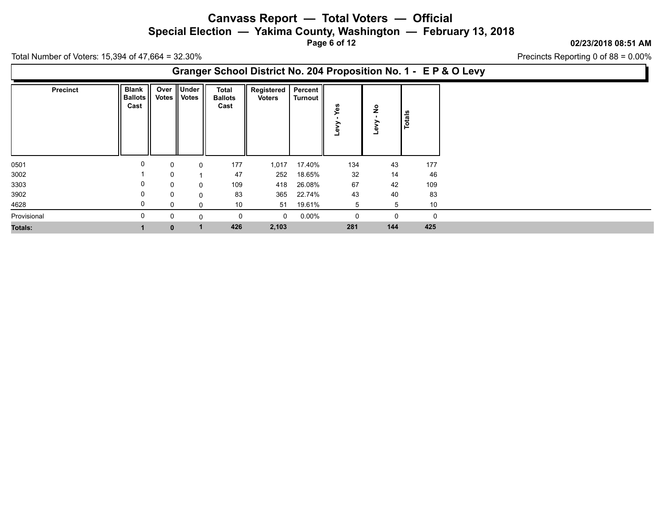**Special Election — Yakima County, Washington — February 13, 2018**

**Page 6 of 12**

#### **02/23/2018 08:51 AM**

Precincts Reporting 0 of 88 = 0.00%

Total Number of Voters: 15,394 of 47,664 = 32.30%

### **Granger School District No. 204 Proposition No. 1 - E P & O Levy**

| <b>Precinct</b> | <b>Blank</b><br><b>Ballots</b><br>Cast | Over<br>Votes | <b>Under</b><br><b>Votes</b> | <b>Total</b><br><b>Ballots</b><br>Cast | Registered<br><b>Voters</b> | Percent<br>Turnout | ∽   | $\frac{1}{2}$<br>Levy | Totals         |          |
|-----------------|----------------------------------------|---------------|------------------------------|----------------------------------------|-----------------------------|--------------------|-----|-----------------------|----------------|----------|
| 0501            | 0                                      | 0             | 0                            | 177                                    | 1,017                       | 17.40%             | 134 | 43                    |                | 177      |
| 3002            |                                        | 0             | $\overline{A}$               | 47                                     | 252                         | 18.65%             | 32  | 14                    |                | 46       |
| 3303            | 0                                      | 0             | 0                            | 109                                    | 418                         | 26.08%             | 67  | 42                    |                | 109      |
| 3902            | 0                                      | 0             | 0                            | 83                                     | 365                         | 22.74%             | 43  | 40                    |                | 83       |
| 4628            |                                        | 0             | 0                            | 10 <sup>°</sup>                        |                             | 51 19.61%          | 5   |                       | $\overline{5}$ | 10       |
| Provisional     | 0                                      | 0             | 0                            | $\mathbf 0$                            | $\mathbf{0}$                | $0.00\%$           | 0   |                       | 0              | $\Omega$ |
| <b>Totals:</b>  |                                        | $\mathbf{0}$  | 1                            | 426                                    | 2,103                       |                    | 281 | 144                   |                | 425      |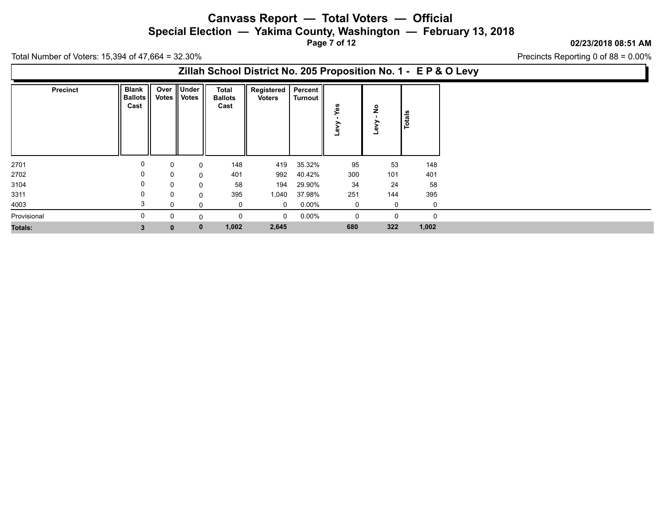**Special Election — Yakima County, Washington — February 13, 2018**

**Page 7 of 12**

#### **02/23/2018 08:51 AM**

Precincts Reporting 0 of 88 = 0.00%

Total Number of Voters: 15,394 of 47,664 = 32.30%

### **Zillah School District No. 205 Proposition No. 1 - E P & O Levy**

| <b>Precinct</b> | Blank<br><b>Ballots</b><br>Cast |              | Over Under<br>Votes    Votes | <b>Total</b><br><b>Ballots</b><br>Cast | Registered<br><b>Voters</b> | Percent  <br>  Turnout | ∽   | $\frac{1}{2}$<br>Levy | Totals |          |
|-----------------|---------------------------------|--------------|------------------------------|----------------------------------------|-----------------------------|------------------------|-----|-----------------------|--------|----------|
| 2701            |                                 | 0            | 0                            | 148                                    | 419                         | 35.32%                 | 95  | 53                    |        | 148      |
| 2702            |                                 | 0            | $\mathbf 0$                  | 401                                    | 992                         | 40.42%                 | 300 | 101                   |        | 401      |
| 3104            |                                 | $\mathbf{0}$ | $\mathbf 0$                  | 58                                     | 194                         | 29.90%                 | 34  | 24                    |        | 58       |
| 3311            |                                 | 0            | $\mathbf 0$                  | 395                                    | 1,040                       | 37.98%                 | 251 | 144                   |        | 395      |
| 4003            |                                 | 0            | $\Omega$                     | $\mathbf 0$                            | $\mathbf{0}$                | $0.00\%$               | 0   | 0                     |        | 0        |
| Provisional     |                                 | 0            | $\Omega$                     | 0                                      | $\mathbf 0$                 | $0.00\%$               | 0   | 0                     |        | $\Omega$ |
| <b>Totals:</b>  | 3.                              | $\mathbf{0}$ | $\mathbf 0$                  | 1,002                                  | 2,645                       |                        | 680 | 322                   |        | 1,002    |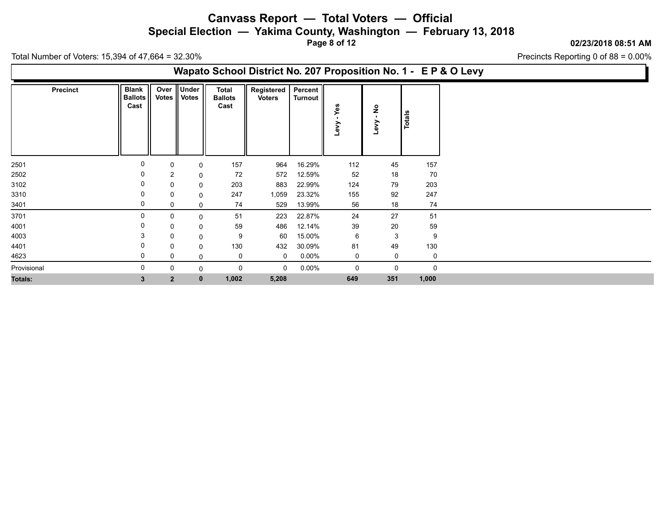**Special Election — Yakima County, Washington — February 13, 2018**

**Page 8 of 12**

#### **02/23/2018 08:51 AM**

Precincts Reporting 0 of 88 = 0.00%

Total Number of Voters: 15,394 of 47,664 = 32.30%

### **Wapato School District No. 207 Proposition No. 1 - E P & O Levy**

| Precinct       | <b>Blank</b><br><b>Ballots</b><br>Cast | Over<br><b>Votes</b> | Under<br><b>Votes</b> | Total<br><b>Ballots</b><br>Cast | Registered<br><b>Voters</b> | Percent<br>Turnout | 8<br>≻<br>Levy | $\frac{1}{2}$<br>$\mathbf{r}$<br>Levy | Totals      |
|----------------|----------------------------------------|----------------------|-----------------------|---------------------------------|-----------------------------|--------------------|----------------|---------------------------------------|-------------|
| 2501           | 0                                      |                      | 0                     | 157                             | 964                         | 16.29%             | 112            | 45                                    | 157         |
| 2502           | 0                                      | $\overline{2}$       | 0                     | 72                              | 572                         | 12.59%             | 52             | 18                                    | 70          |
| 3102           | 0                                      | 0                    | 0                     | 203                             | 883                         | 22.99%             | 124            | 79                                    | 203         |
| 3310           | 0                                      | 0                    | 0                     | 247                             | 1,059                       | 23.32%             | 155            | 92                                    | 247         |
| 3401           | 0                                      | 0                    | 0                     | 74                              | 529                         | 13.99%             | 56             | 18                                    | 74          |
| 3701           | 0                                      |                      | 0                     | 51                              | 223                         | 22.87%             | 24             | 27                                    | 51          |
| 4001           |                                        | 0                    | 0                     | 59                              | 486                         | 12.14%             | 39             | 20                                    | 59          |
| 4003           | 3                                      |                      | 0                     | 9                               | 60                          | 15.00%             | 6              | 3                                     | 9           |
| 4401           | 0                                      |                      | 0                     | 130                             | 432                         | 30.09%             | 81             | 49                                    | 130         |
| 4623           | 0                                      |                      | $\mathbf{0}$          | 0                               | $\mathbf 0$                 | $0.00\%$           | $\mathbf 0$    | 0                                     | $\Omega$    |
| Provisional    | 0                                      |                      | $\mathbf{0}$          | 0                               | $\Omega$                    | $0.00\%$           | 0              | 0                                     | $\mathbf 0$ |
| <b>Totals:</b> | 3                                      | $\overline{2}$       | $\mathbf{0}$          | 1,002                           | 5,208                       |                    | 649            | 351                                   | 1,000       |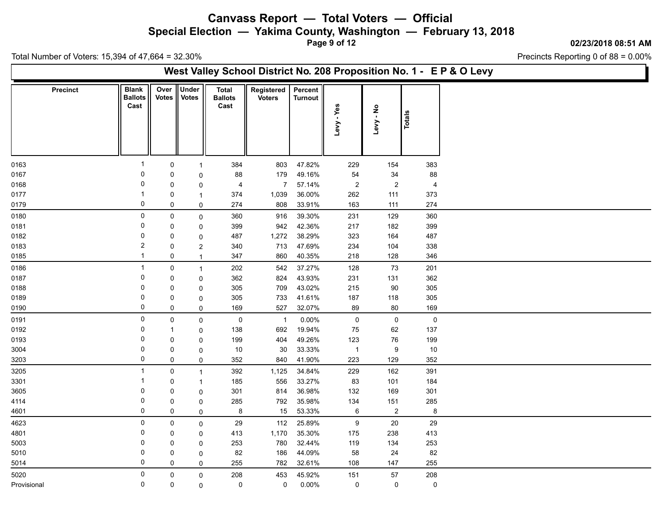**Special Election — Yakima County, Washington — February 13, 2018**

**Page 9 of 12**

#### **02/23/2018 08:51 AM**

Precincts Reporting 0 of 88 = 0.00%

Total Number of Voters: 15,394 of 47,664 = 32.30%

### **West Valley School District No. 208 Proposition No. 1 - E P & O Levy**

| <b>Precinct</b> | <b>Blank</b><br><b>Ballots</b><br>Cast | Over<br><b>Votes</b> | <b>Under</b><br><b>Votes</b> | <b>Total</b><br><b>Ballots</b><br>Cast | Registered<br><b>Voters</b> | Percent<br><b>Turnout</b> | -Yes<br>Levy     | Levy - No        | Totals         |
|-----------------|----------------------------------------|----------------------|------------------------------|----------------------------------------|-----------------------------|---------------------------|------------------|------------------|----------------|
|                 | $\mathbf{1}$                           |                      |                              |                                        |                             |                           |                  |                  |                |
| 0163            | $\mathbf 0$                            | $\mathbf 0$          | $\mathbf{1}$                 | 384                                    | 803                         | 47.82%                    | 229              | 154              | 383            |
| 0167            | $\Omega$                               | 0                    | $\Omega$                     | 88                                     | 179                         | 49.16%                    | 54               | 34               | 88             |
| 0168            |                                        | 0                    | $\mathbf 0$                  | $\overline{4}$                         | $\overline{7}$              | 57.14%                    | $\boldsymbol{2}$ | $\boldsymbol{2}$ | $\overline{4}$ |
| 0177            | 0                                      | $\mathbf 0$          | $\mathbf{1}$                 | 374                                    | 1,039                       | 36.00%                    | 262              | 111              | 373            |
| 0179            |                                        | 0                    | 0                            | 274                                    | 808                         | 33.91%                    | 163              | 111              | 274            |
| 0180            | $\mathbf 0$                            | $\mathsf{O}$         | $\mathbf 0$                  | 360                                    | 916                         | 39.30%                    | 231              | 129              | 360            |
| 0181            | $\mathbf 0$                            | 0                    | 0                            | 399                                    | 942                         | 42.36%                    | 217              | 182              | 399            |
| 0182            | 0                                      | $\mathbf 0$          | $\mathbf 0$                  | 487                                    | 1,272                       | 38.29%                    | 323              | 164              | 487            |
| 0183            | $\overline{2}$                         | 0                    | $\overline{2}$               | 340                                    | 713                         | 47.69%                    | 234              | 104              | 338            |
| 0185            | $\mathbf 1$                            | 0                    | $\mathbf{1}$                 | 347                                    | 860                         | 40.35%                    | 218              | 128              | 346            |
| 0186            | $\mathbf 1$                            | $\mathbf 0$          | $\mathbf{1}$                 | 202                                    | 542                         | 37.27%                    | 128              | 73               | 201            |
| 0187            | $\Omega$                               | $\mathbf 0$          | 0                            | 362                                    | 824                         | 43.93%                    | 231              | 131              | 362            |
| 0188            | $\mathbf 0$                            | 0                    | $\mathbf 0$                  | 305                                    | 709                         | 43.02%                    | 215              | 90               | 305            |
| 0189            | $\Omega$                               | 0                    | $\mathbf 0$                  | 305                                    | 733                         | 41.61%                    | 187              | 118              | 305            |
| 0190            | 0                                      | 0                    | $\mathbf 0$                  | 169                                    | 527                         | 32.07%                    | 89               | 80               | 169            |
| 0191            | $\mathbf 0$                            | $\mathsf{O}$         | $\mathsf{O}$                 | $\mathbf 0$                            | $\overline{1}$              | 0.00%                     | $\mathsf 0$      | $\mathsf{O}$     | $\mathbf 0$    |
| 0192            | 0                                      | $\mathbf 1$          | 0                            | 138                                    | 692                         | 19.94%                    | 75               | 62               | 137            |
| 0193            | $\mathbf 0$                            | $\pmb{0}$            | $\mathbf{0}$                 | 199                                    | 404                         | 49.26%                    | 123              | 76               | 199            |
| 3004            | $\Omega$                               | 0                    | 0                            | 10                                     | 30                          | 33.33%                    | $\overline{1}$   | 9                | 10             |
| 3203            | 0                                      | 0                    | 0                            | 352                                    | 840                         | 41.90%                    | 223              | 129              | 352            |
| 3205            | $\mathbf{1}$                           | $\mathbf 0$          | $\mathbf{1}$                 | 392                                    | 1,125                       | 34.84%                    | 229              | 162              | 391            |
| 3301            |                                        | 0                    | $\mathbf{1}$                 | 185                                    | 556                         | 33.27%                    | 83               | 101              | 184            |
| 3605            | 0                                      | 0                    | 0                            | 301                                    | 814                         | 36.98%                    | 132              | 169              | 301            |
| 4114            | 0                                      | $\mathbf 0$          | 0                            | 285                                    | 792                         | 35.98%                    | 134              | 151              | 285            |
| 4601            | 0                                      | $\mathsf{O}$         | $\mathbf 0$                  | 8                                      | 15                          | 53.33%                    | 6                | $\overline{2}$   | 8              |
| 4623            | 0                                      | 0                    | 0                            | 29                                     | 112                         | 25.89%                    | $\boldsymbol{9}$ | 20               | 29             |
| 4801            | 0                                      | 0                    | $\Omega$                     | 413                                    | 1,170                       | 35.30%                    | 175              | 238              | 413            |
| 5003            | $\mathbf 0$                            | $\mathbf 0$          | $\mathbf 0$                  | 253                                    | 780                         | 32.44%                    | 119              | 134              | 253            |
| 5010            | $\Omega$                               | 0                    | $\mathbf 0$                  | 82                                     | 186                         | 44.09%                    | 58               | 24               | 82             |
| 5014            | $\Omega$                               | 0                    | 0                            | 255                                    | 782                         | 32.61%                    | 108              | 147              | 255            |
| 5020            | $\mathbf 0$                            | 0                    | 0                            | 208                                    | 453                         | 45.92%                    | 151              | $57\,$           | 208            |
| Provisional     | $\mathbf 0$                            | 0                    | 0                            | 0                                      | 0                           | $0.00\%$                  | $\mathsf 0$      | $\mathsf{O}$     | $\mathsf 0$    |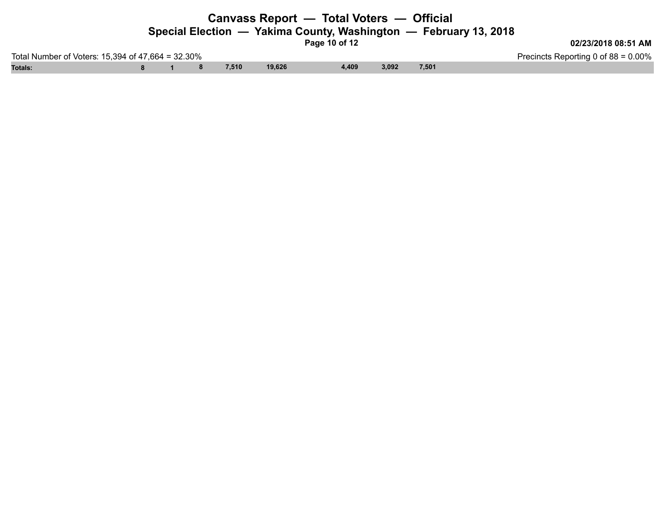### **Canvass Report — Total Voters — Official Special Election — Yakima County, Washington — February 13, 2018**

**Page 10 of 12**

**02/23/2018 08:51 AM**

Total Number of Voters: 15,394 of 47,664 = 32.30% Precincts Reporting 0 of 88 = 0.00% **Totals: 8 1 8 7,510 19,626 4,409 3,092 7,501**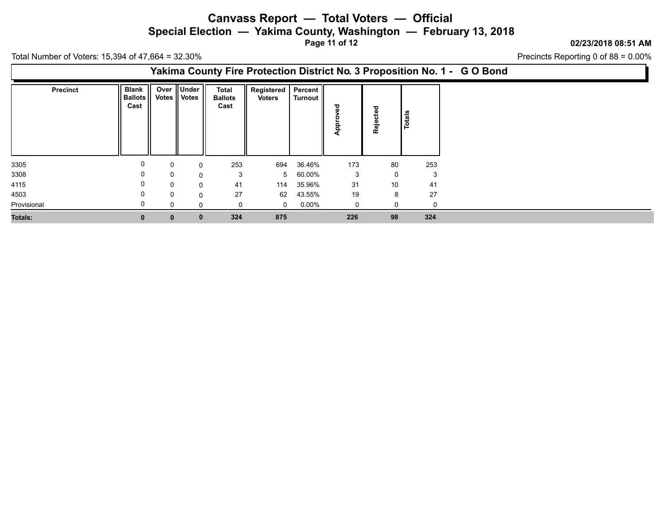**Special Election — Yakima County, Washington — February 13, 2018**

**Page 11 of 12**

**02/23/2018 08:51 AM**

Precincts Reporting 0 of 88 = 0.00%

Total Number of Voters: 15,394 of 47,664 = 32.30%

### **Yakima County Fire Protection District No. 3 Proposition No. 1 - G O Bond**

| <b>Precinct</b> | <b>Blank</b><br><b>Ballots</b><br>Cast |              | Over Under<br>Votes    Votes | <b>Total</b><br><b>Ballots</b><br>Cast | Registered   Percent  <br><b>Voters</b> | Turnout  | ಕ<br>c<br>௨ | ಕ<br>ី<br>Reje | Totals |
|-----------------|----------------------------------------|--------------|------------------------------|----------------------------------------|-----------------------------------------|----------|-------------|----------------|--------|
|                 |                                        |              |                              |                                        |                                         |          |             |                |        |
| 3305            | 0                                      | 0            | $\Omega$                     | 253                                    | 694                                     | 36.46%   | 173         | 80             | 253    |
| 3308            | 0                                      | 0            | $\Omega$                     | 3                                      |                                         | 5 60.00% | 3           | $\mathbf 0$    | 3      |
| 4115            | 0                                      | $\Omega$     | 0                            | 41                                     | 114                                     | 35.96%   | 31          | 10             | 41     |
| 4503            | 0                                      | $\mathbf 0$  | $\Omega$                     | 27                                     | 62                                      | 43.55%   | 19          | 8              | 27     |
| Provisional     |                                        | 0            | $\Omega$                     |                                        | $\mathbf 0$                             | $0.00\%$ | $\mathbf 0$ | 0              | 0      |
| Totals:         | $\mathbf{0}$                           | $\mathbf{0}$ | $\mathbf{0}$                 | 324                                    | 875                                     |          | 226         | 98             | 324    |